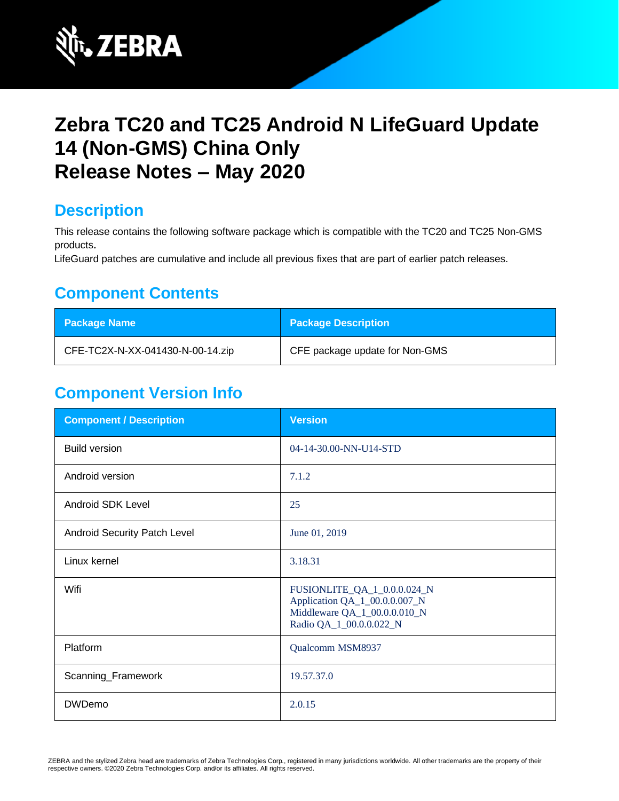

# **Zebra TC20 and TC25 Android N LifeGuard Update 14 (Non-GMS) China Only Release Notes – May 2020**

### **Description**

This release contains the following software package which is compatible with the TC20 and TC25 Non-GMS products.

LifeGuard patches are cumulative and include all previous fixes that are part of earlier patch releases.

## **Component Contents**

| Package Name                     | <b>Package Description</b>     |
|----------------------------------|--------------------------------|
| CFE-TC2X-N-XX-041430-N-00-14.zip | CFE package update for Non-GMS |

## **Component Version Info**

| <b>Component / Description</b> | <b>Version</b>                                                                                                          |
|--------------------------------|-------------------------------------------------------------------------------------------------------------------------|
| <b>Build version</b>           | 04-14-30.00-NN-U14-STD                                                                                                  |
| Android version                | 7.1.2                                                                                                                   |
| Android SDK Level              | 25                                                                                                                      |
| Android Security Patch Level   | June 01, 2019                                                                                                           |
| Linux kernel                   | 3.18.31                                                                                                                 |
| Wifi                           | FUSIONLITE_QA_1_0.0.0.024_N<br>Application QA_1_00.0.0.007_N<br>Middleware QA_1_00.0.0.010_N<br>Radio QA_1_00.0.0.022_N |
| Platform                       | Qualcomm MSM8937                                                                                                        |
| Scanning_Framework             | 19.57.37.0                                                                                                              |
| <b>DWDemo</b>                  | 2.0.15                                                                                                                  |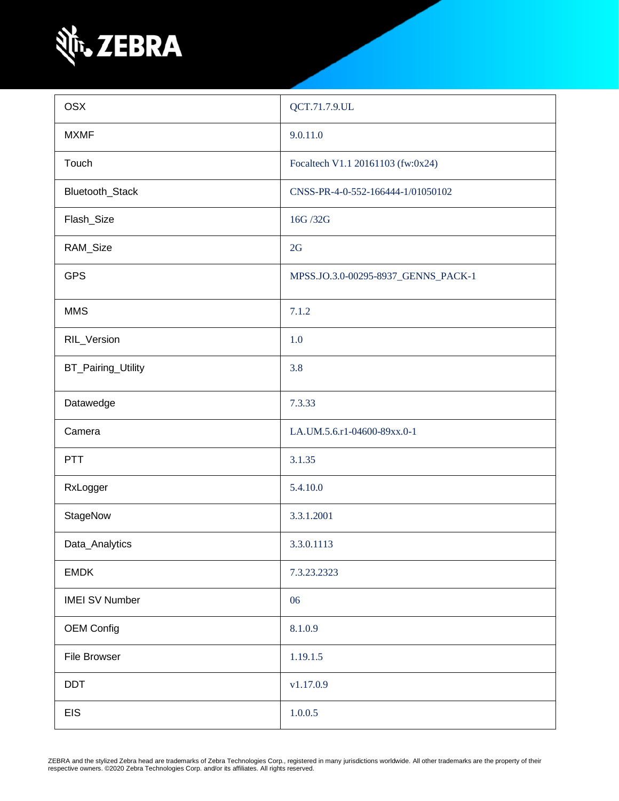

| <b>OSX</b>            | QCT.71.7.9.UL                       |
|-----------------------|-------------------------------------|
| <b>MXMF</b>           | 9.0.11.0                            |
| Touch                 | Focaltech V1.1 20161103 (fw:0x24)   |
| Bluetooth_Stack       | CNSS-PR-4-0-552-166444-1/01050102   |
| Flash_Size            | 16G /32G                            |
| RAM_Size              | 2G                                  |
| <b>GPS</b>            | MPSS.JO.3.0-00295-8937_GENNS_PACK-1 |
| <b>MMS</b>            | 7.1.2                               |
| RIL_Version           | 1.0                                 |
| BT_Pairing_Utility    | 3.8                                 |
| Datawedge             | 7.3.33                              |
| Camera                | LA.UM.5.6.r1-04600-89xx.0-1         |
| PTT                   | 3.1.35                              |
| RxLogger              | 5.4.10.0                            |
| StageNow              | 3.3.1.2001                          |
| Data_Analytics        | 3.3.0.1113                          |
| <b>EMDK</b>           | 7.3.23.2323                         |
| <b>IMEI SV Number</b> | 06                                  |
| <b>OEM Config</b>     | 8.1.0.9                             |
| File Browser          | 1.19.1.5                            |
| <b>DDT</b>            | v1.17.0.9                           |
| <b>EIS</b>            | 1.0.0.5                             |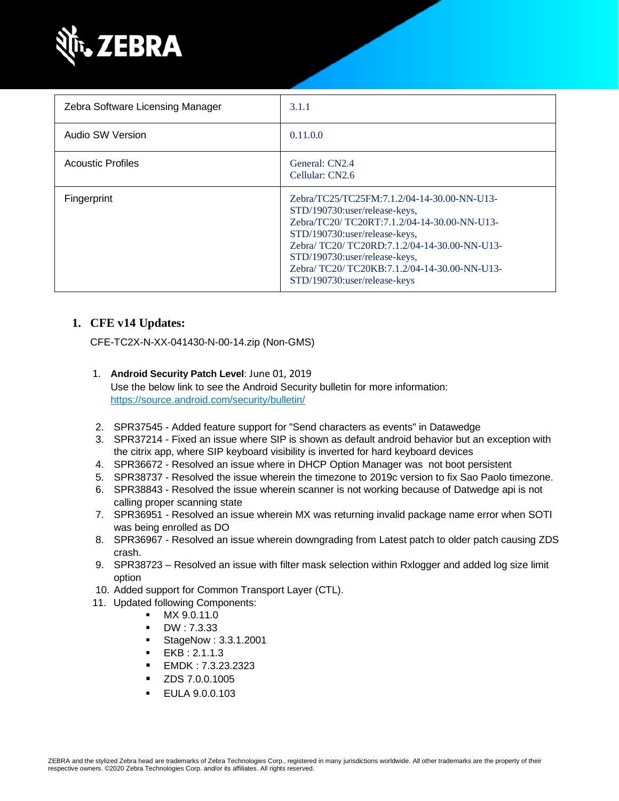

| Zebra Software Licensing Manager | 3.1.1                                                                                                                                                                                                                                                                                                                        |
|----------------------------------|------------------------------------------------------------------------------------------------------------------------------------------------------------------------------------------------------------------------------------------------------------------------------------------------------------------------------|
| Audio SW Version                 | 0.11.0.0                                                                                                                                                                                                                                                                                                                     |
| <b>Acoustic Profiles</b>         | General: CN2.4<br>Cellular: CN2.6                                                                                                                                                                                                                                                                                            |
| Fingerprint                      | Zebra/TC25/TC25FM:7.1.2/04-14-30.00-NN-U13-<br>STD/190730:user/release-keys,<br>Zebra/TC20/ TC20RT:7.1.2/04-14-30.00-NN-U13-<br>STD/190730:user/release-keys,<br>Zebra/TC20/TC20RD:7.1.2/04-14-30.00-NN-U13-<br>STD/190730:user/release-keys,<br>Zebra/TC20/TC20KB:7.1.2/04-14-30.00-NN-U13-<br>STD/190730:user/release-keys |

#### **1. CFE v14 Updates:**

CFE-TC2X-N-XX-041430-N-00-14.zip (Non-GMS)

1. **Android Security Patch Level**: June 01, 2019

Use the below link to see the Android Security bulletin for more information: <https://source.android.com/security/bulletin/>

- 2. SPR37545 Added feature support for "Send characters as events" in Datawedge
- 3. SPR37214 Fixed an issue where SIP is shown as default android behavior but an exception with the citrix app, where SIP keyboard visibility is inverted for hard keyboard devices
- 4. SPR36672 Resolved an issue where in DHCP Option Manager was not boot persistent
- 5. SPR38737 Resolved the issue wherein the timezone to 2019c version to fix Sao Paolo timezone.
- 6. SPR38843 Resolved the issue wherein scanner is not working because of Datwedge api is not calling proper scanning state
- 7. SPR36951 Resolved an issue wherein MX was returning invalid package name error when SOTI was being enrolled as DO
- 8. SPR36967 Resolved an issue wherein downgrading from Latest patch to older patch causing ZDS crash.
- 9. SPR38723 Resolved an issue with filter mask selection within Rxlogger and added log size limit option
- 10. Added support for Common Transport Layer (CTL).
- 11. Updated following Components:
	- MX 9.0.11.0
	- DW : 7.3.33
	- StageNow : 3.3.1.2001
	- EKB : 2.1.1.3
	- EMDK : 7.3.23.2323
	- ZDS 7.0.0.1005
	- EULA 9.0.0.103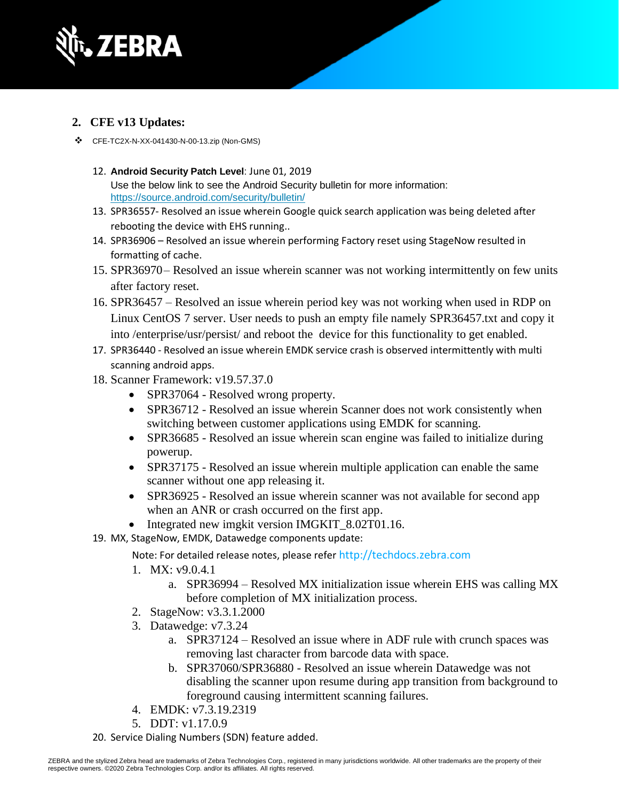

- **2. CFE v13 Updates:**
- ❖ CFE-TC2X-N-XX-041430-N-00-13.zip (Non-GMS)
	- 12. **Android Security Patch Level**: June 01, 2019 Use the below link to see the Android Security bulletin for more information: <https://source.android.com/security/bulletin/>
	- 13. SPR36557- Resolved an issue wherein Google quick search application was being deleted after rebooting the device with EHS running..
	- 14. SPR36906 Resolved an issue wherein performing Factory reset using StageNow resulted in formatting of cache.
	- 15. SPR36970– Resolved an issue wherein scanner was not working intermittently on few units after factory reset.
	- 16. SPR36457 Resolved an issue wherein period key was not working when used in RDP on Linux CentOS 7 server. User needs to push an empty file namely SPR36457.txt and copy it into /enterprise/usr/persist/ and reboot the device for this functionality to get enabled.
	- 17. SPR36440 Resolved an issue wherein EMDK service crash is observed intermittently with multi scanning android apps.
	- 18. Scanner Framework: v19.57.37.0
		- SPR37064 Resolved wrong property.
		- SPR36712 Resolved an issue wherein Scanner does not work consistently when switching between customer applications using EMDK for scanning.
		- SPR36685 Resolved an issue wherein scan engine was failed to initialize during powerup.
		- SPR37175 Resolved an issue wherein multiple application can enable the same scanner without one app releasing it.
		- SPR36925 Resolved an issue wherein scanner was not available for second app when an ANR or crash occurred on the first app.
		- Integrated new imgkit version IMGKIT 8.02T01.16.
	- 19. MX, StageNow, EMDK, Datawedge components update:

Note: For detailed release notes, please refer [http://techdocs.zebra.com](http://techdocs.zebra.com/)

- 1. MX: v9.0.4.1
	- a. SPR36994 Resolved MX initialization issue wherein EHS was calling MX before completion of MX initialization process.
- 2. StageNow: v3.3.1.2000
- 3. Datawedge: v7.3.24
	- a. SPR37124 Resolved an issue where in ADF rule with crunch spaces was removing last character from barcode data with space.
	- b. SPR37060/SPR36880 Resolved an issue wherein Datawedge was not disabling the scanner upon resume during app transition from background to foreground causing intermittent scanning failures.
- 4. EMDK: v7.3.19.2319
- 5. DDT: v1.17.0.9
- 20. Service Dialing Numbers (SDN) feature added.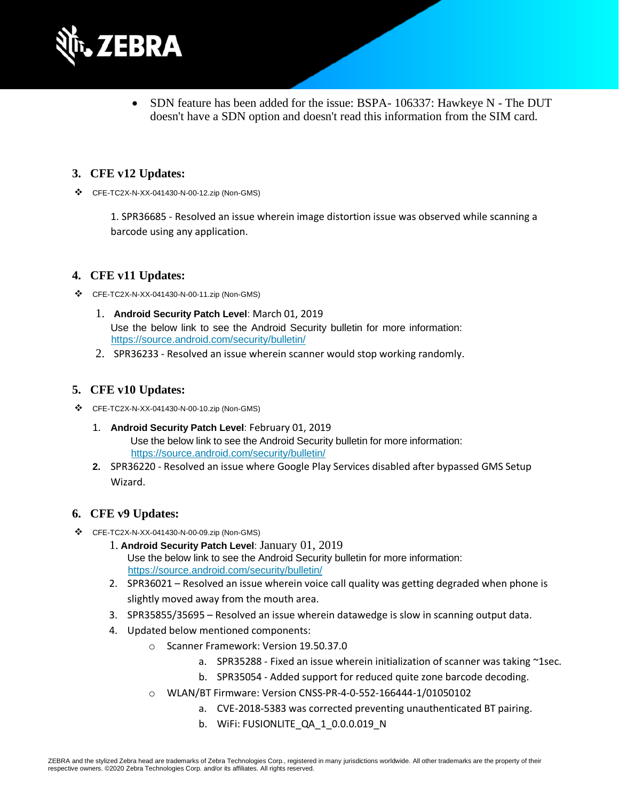

• SDN feature has been added for the issue: BSPA-106337: Hawkeye N - The DUT doesn't have a SDN option and doesn't read this information from the SIM card.

#### **3. CFE v12 Updates:**

❖ CFE-TC2X-N-XX-041430-N-00-12.zip (Non-GMS)

1. SPR36685 - Resolved an issue wherein image distortion issue was observed while scanning a barcode using any application.

#### **4. CFE v11 Updates:**

- ❖ CFE-TC2X-N-XX-041430-N-00-11.zip (Non-GMS)
	- 1. **Android Security Patch Level**: March 01, 2019 Use the below link to see the Android Security bulletin for more information: <https://source.android.com/security/bulletin/>
	- 2. SPR36233 Resolved an issue wherein scanner would stop working randomly.

#### **5. CFE v10 Updates:**

- ❖ CFE-TC2X-N-XX-041430-N-00-10.zip (Non-GMS)
	- 1. **Android Security Patch Level**: February 01, 2019 Use the below link to see the Android Security bulletin for more information: <https://source.android.com/security/bulletin/>
	- **2.** SPR36220 Resolved an issue where Google Play Services disabled after bypassed GMS Setup Wizard.

#### **6. CFE v9 Updates:**

- ❖ CFE-TC2X-N-XX-041430-N-00-09.zip (Non-GMS)
	- 1. **Android Security Patch Level**: January 01, 2019 Use the below link to see the Android Security bulletin for more information: <https://source.android.com/security/bulletin/>
	- 2. SPR36021 Resolved an issue wherein voice call quality was getting degraded when phone is slightly moved away from the mouth area.
	- 3. SPR35855/35695 Resolved an issue wherein datawedge is slow in scanning output data.
	- 4. Updated below mentioned components:
		- o Scanner Framework: Version 19.50.37.0
			- a. SPR35288 Fixed an issue wherein initialization of scanner was taking ~1sec.
			- b. SPR35054 Added support for reduced quite zone barcode decoding.
		- o WLAN/BT Firmware: Version CNSS-PR-4-0-552-166444-1/01050102
			- a. CVE-2018-5383 was corrected preventing unauthenticated BT pairing.
			- b. WiFi: FUSIONLITE\_QA\_1\_0.0.0.019\_N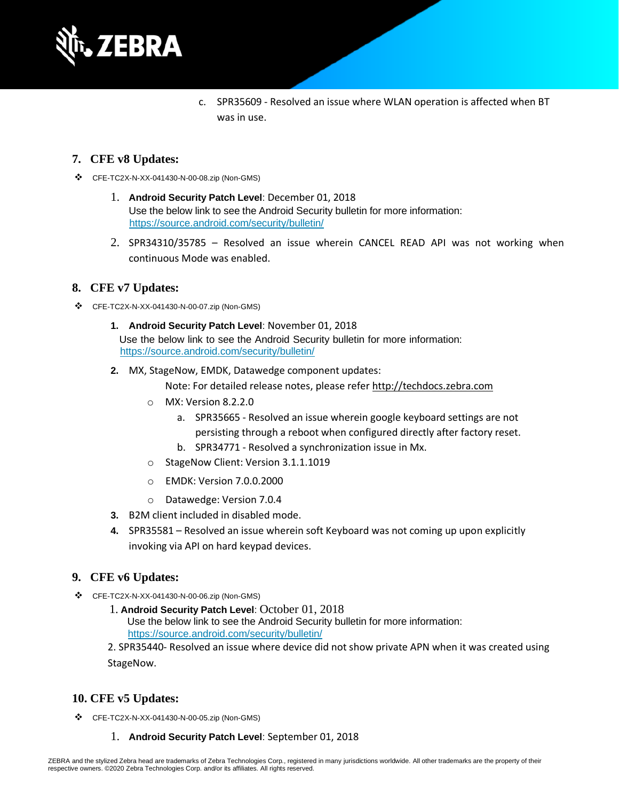

c. SPR35609 - Resolved an issue where WLAN operation is affected when BT was in use.

#### **7. CFE v8 Updates:**

- ❖ CFE-TC2X-N-XX-041430-N-00-08.zip (Non-GMS)
	- 1. **Android Security Patch Level**: December 01, 2018 Use the below link to see the Android Security bulletin for more information: <https://source.android.com/security/bulletin/>
	- 2. SPR34310/35785 Resolved an issue wherein CANCEL READ API was not working when continuous Mode was enabled.

#### **8. CFE v7 Updates:**

- ❖ CFE-TC2X-N-XX-041430-N-00-07.zip (Non-GMS)
	- **1. Android Security Patch Level**: November 01, 2018 Use the below link to see the Android Security bulletin for more information: <https://source.android.com/security/bulletin/>
	- **2.** MX, StageNow, EMDK, Datawedge component updates:

Note: For detailed release notes, please refer [http://techdocs.zebra.com](http://techdocs.zebra.com/)

- o MX: Version 8.2.2.0
	- a. SPR35665 Resolved an issue wherein google keyboard settings are not persisting through a reboot when configured directly after factory reset.
	- b. SPR34771 Resolved a synchronization issue in Mx.
- o StageNow Client: Version 3.1.1.1019
- o EMDK: Version 7.0.0.2000
- o Datawedge: Version 7.0.4
- **3.** B2M client included in disabled mode.
- **4.** SPR35581 Resolved an issue wherein soft Keyboard was not coming up upon explicitly invoking via API on hard keypad devices.

#### **9. CFE v6 Updates:**

- ❖ CFE-TC2X-N-XX-041430-N-00-06.zip (Non-GMS)
	- 1. **Android Security Patch Level**: October 01, 2018

Use the below link to see the Android Security bulletin for more information:

<https://source.android.com/security/bulletin/>

2. SPR35440- Resolved an issue where device did not show private APN when it was created using StageNow.

#### **10. CFE v5 Updates:**

- ❖ CFE-TC2X-N-XX-041430-N-00-05.zip (Non-GMS)
	- 1. **Android Security Patch Level**: September 01, 2018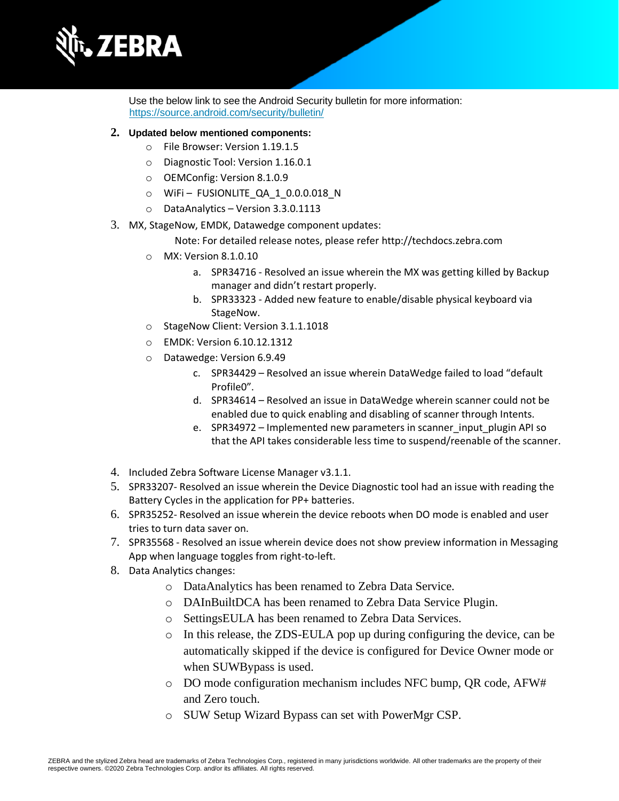

Use the below link to see the Android Security bulletin for more information: <https://source.android.com/security/bulletin/>

#### **2. Updated below mentioned components:**

- o File Browser: Version 1.19.1.5
- o Diagnostic Tool: Version 1.16.0.1
- o OEMConfig: Version 8.1.0.9
- o WiFi FUSIONLITE\_QA\_1\_0.0.0.018\_N
- o DataAnalytics Version 3.3.0.1113
- 3. MX, StageNow, EMDK, Datawedge component updates:

Note: For detailed release notes, please refe[r http://techdocs.zebra.com](http://techdocs.zebra.com/)

- o MX: Version 8.1.0.10
	- a. SPR34716 Resolved an issue wherein the MX was getting killed by Backup manager and didn't restart properly.
	- b. SPR33323 Added new feature to enable/disable physical keyboard via StageNow.
- o StageNow Client: Version 3.1.1.1018
- o EMDK: Version 6.10.12.1312
- o Datawedge: Version 6.9.49
	- c. SPR34429 Resolved an issue wherein DataWedge failed to load "default Profile0".
	- d. SPR34614 Resolved an issue in DataWedge wherein scanner could not be enabled due to quick enabling and disabling of scanner through Intents.
	- e. SPR34972 Implemented new parameters in scanner input plugin API so that the API takes considerable less time to suspend/reenable of the scanner.
- 4. Included Zebra Software License Manager v3.1.1.
- 5. SPR33207- Resolved an issue wherein the Device Diagnostic tool had an issue with reading the Battery Cycles in the application for PP+ batteries.
- 6. SPR35252- Resolved an issue wherein the device reboots when DO mode is enabled and user tries to turn data saver on.
- 7. SPR35568 Resolved an issue wherein device does not show preview information in Messaging App when language toggles from right-to-left.
- 8. Data Analytics changes:
	- o DataAnalytics has been renamed to Zebra Data Service.
	- o DAInBuiltDCA has been renamed to Zebra Data Service Plugin.
	- o SettingsEULA has been renamed to Zebra Data Services.
	- o In this release, the ZDS-EULA pop up during configuring the device, can be automatically skipped if the device is configured for Device Owner mode or when SUWBypass is used.
	- o DO mode configuration mechanism includes NFC bump, QR code, AFW# and Zero touch.
	- o SUW Setup Wizard Bypass can set with PowerMgr CSP.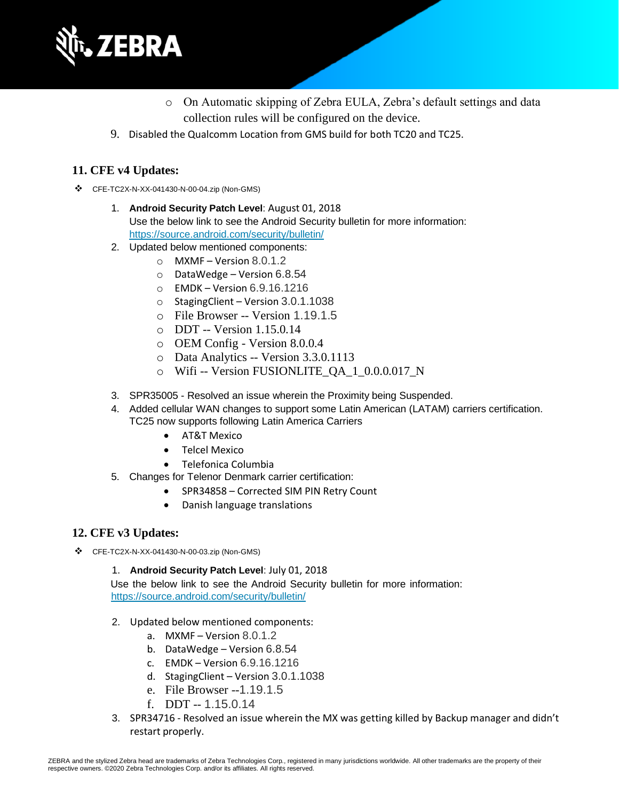

- o On Automatic skipping of Zebra EULA, Zebra's default settings and data collection rules will be configured on the device.
- 9. Disabled the Qualcomm Location from GMS build for both TC20 and TC25.

#### **11. CFE v4 Updates:**

- ❖ CFE-TC2X-N-XX-041430-N-00-04.zip (Non-GMS)
	- 1. **Android Security Patch Level**: August 01, 2018 Use the below link to see the Android Security bulletin for more information: <https://source.android.com/security/bulletin/>
	- 2. Updated below mentioned components:
		- o MXMF Version 8.0.1.2
		- o DataWedge Version 6.8.54
		- o EMDK Version 6.9.16.1216
		- o StagingClient Version 3.0.1.1038
		- o File Browser -- Version 1.19.1.5
		- o DDT -- Version 1.15.0.14
		- o OEM Config Version 8.0.0.4
		- o Data Analytics -- Version 3.3.0.1113
		- o Wifi -- Version FUSIONLITE\_QA\_1\_0.0.0.017\_N
	- 3. SPR35005 Resolved an issue wherein the Proximity being Suspended.
	- 4. Added cellular WAN changes to support some Latin American (LATAM) carriers certification. TC25 now supports following Latin America Carriers
		- AT&T Mexico
		- Telcel Mexico
		- Telefonica Columbia
	- 5. Changes for Telenor Denmark carrier certification:
		- SPR34858 Corrected SIM PIN Retry Count
		- Danish language translations

#### **12. CFE v3 Updates:**

❖ CFE-TC2X-N-XX-041430-N-00-03.zip (Non-GMS)

1. **Android Security Patch Level**: July 01, 2018

Use the below link to see the Android Security bulletin for more information: <https://source.android.com/security/bulletin/>

- 2. Updated below mentioned components:
	- a. MXMF Version 8.0.1.2
	- b. DataWedge Version 6.8.54
	- c. EMDK Version 6.9.16.1216
	- d. StagingClient Version 3.0.1.1038
	- e. File Browser --1.19.1.5
	- f. DDT -- 1.15.0.14
- 3. SPR34716 Resolved an issue wherein the MX was getting killed by Backup manager and didn't restart properly.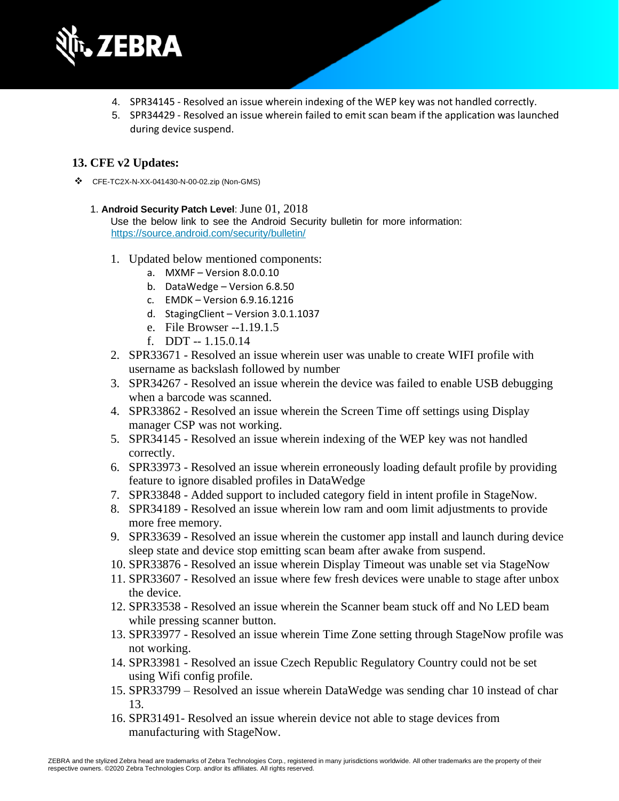

- 4. SPR34145 Resolved an issue wherein indexing of the WEP key was not handled correctly.
- 5. SPR34429 Resolved an issue wherein failed to emit scan beam if the application was launched during device suspend.

#### **13. CFE v2 Updates:**

❖ CFE-TC2X-N-XX-041430-N-00-02.zip (Non-GMS)

#### 1. **Android Security Patch Level**: June 01, 2018

Use the below link to see the Android Security bulletin for more information: <https://source.android.com/security/bulletin/>

- 1. Updated below mentioned components:
	- a. MXMF Version 8.0.0.10
	- b. DataWedge Version 6.8.50
	- c. EMDK Version 6.9.16.1216
	- d. StagingClient Version 3.0.1.1037
	- e. File Browser --1.19.1.5
	- f. DDT -- 1.15.0.14
- 2. SPR33671 Resolved an issue wherein user was unable to create WIFI profile with username as backslash followed by number
- 3. SPR34267 Resolved an issue wherein the device was failed to enable USB debugging when a barcode was scanned.
- 4. SPR33862 Resolved an issue wherein the Screen Time off settings using Display manager CSP was not working.
- 5. SPR34145 Resolved an issue wherein indexing of the WEP key was not handled correctly.
- 6. SPR33973 Resolved an issue wherein erroneously loading default profile by providing feature to ignore disabled profiles in DataWedge
- 7. SPR33848 Added support to included category field in intent profile in StageNow.
- 8. SPR34189 Resolved an issue wherein low ram and oom limit adjustments to provide more free memory.
- 9. SPR33639 Resolved an issue wherein the customer app install and launch during device sleep state and device stop emitting scan beam after awake from suspend.
- 10. SPR33876 Resolved an issue wherein Display Timeout was unable set via StageNow
- 11. SPR33607 Resolved an issue where few fresh devices were unable to stage after unbox the device.
- 12. SPR33538 Resolved an issue wherein the Scanner beam stuck off and No LED beam while pressing scanner button.
- 13. SPR33977 Resolved an issue wherein Time Zone setting through StageNow profile was not working.
- 14. SPR33981 Resolved an issue Czech Republic Regulatory Country could not be set using Wifi config profile.
- 15. SPR33799 Resolved an issue wherein DataWedge was sending char 10 instead of char 13.
- 16. SPR31491- Resolved an issue wherein device not able to stage devices from manufacturing with StageNow.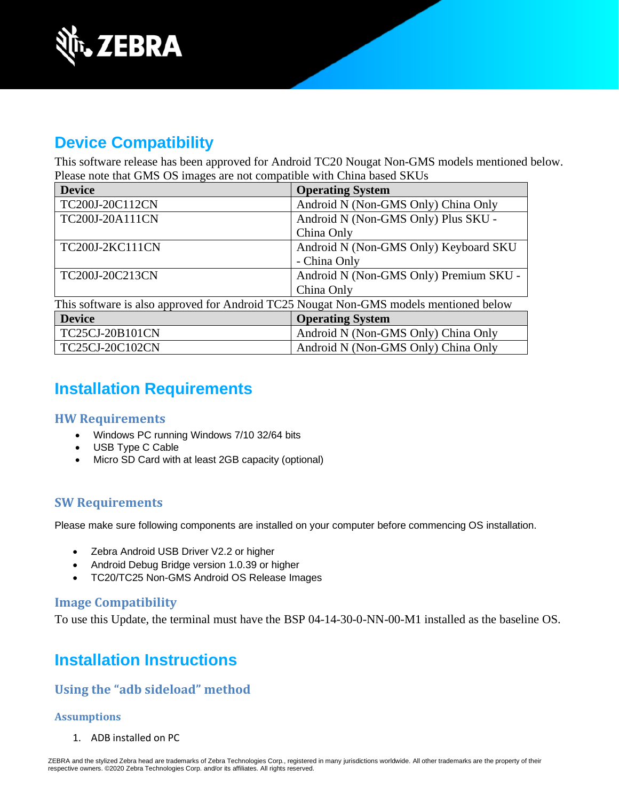

# **Device Compatibility**

This software release has been approved for Android TC20 Nougat Non-GMS models mentioned below. Please note that GMS OS images are not compatible with China based SKUs

| <b>Device</b>                                                                         | <b>Operating System</b>                |  |
|---------------------------------------------------------------------------------------|----------------------------------------|--|
| TC200J-20C112CN                                                                       | Android N (Non-GMS Only) China Only    |  |
| TC200J-20A111CN                                                                       | Android N (Non-GMS Only) Plus SKU -    |  |
|                                                                                       | China Only                             |  |
| TC200J-2KC111CN                                                                       | Android N (Non-GMS Only) Keyboard SKU  |  |
|                                                                                       | - China Only                           |  |
| TC200J-20C213CN                                                                       | Android N (Non-GMS Only) Premium SKU - |  |
|                                                                                       | China Only                             |  |
| This software is also approved for Android TC25 Nougat Non-GMS models mentioned below |                                        |  |
| <b>Device</b>                                                                         | <b>Operating System</b>                |  |
| TC25CJ-20B101CN                                                                       | Android N (Non-GMS Only) China Only    |  |
| TC25CJ-20C102CN                                                                       | Android N (Non-GMS Only) China Only    |  |

## **Installation Requirements**

#### **HW Requirements**

- Windows PC running Windows 7/10 32/64 bits
- USB Type C Cable
- Micro SD Card with at least 2GB capacity (optional)

### **SW Requirements**

Please make sure following components are installed on your computer before commencing OS installation.

- Zebra Android USB Driver V2.2 or higher
- Android Debug Bridge version 1.0.39 or higher
- TC20/TC25 Non-GMS Android OS Release Images

#### **Image Compatibility**

To use this Update, the terminal must have the BSP 04-14-30-0-NN-00-M1 installed as the baseline OS.

# **Installation Instructions**

### **Using the "adb sideload" method**

#### **Assumptions**

1. ADB installed on PC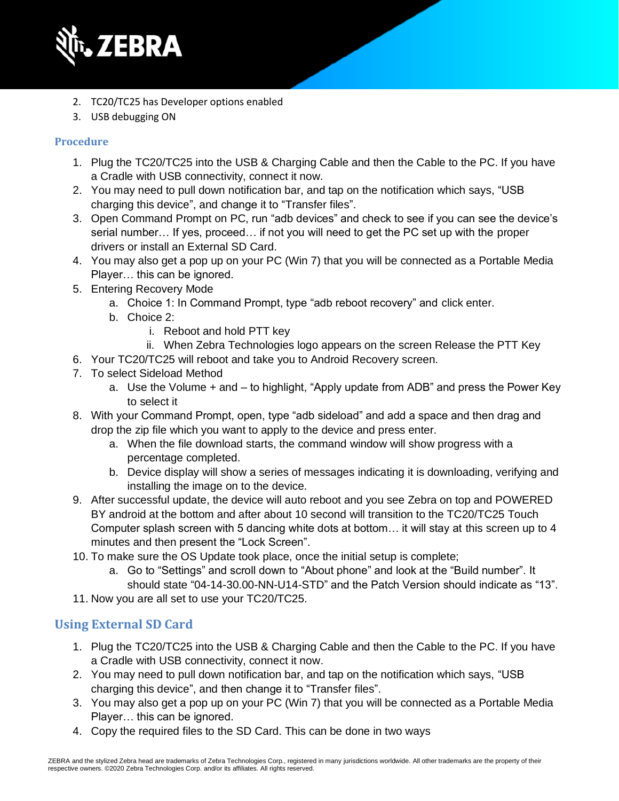

- 2. TC20/TC25 has Developer options enabled
- 3. USB debugging ON

#### **Procedure**

- 1. Plug the TC20/TC25 into the USB & Charging Cable and then the Cable to the PC. If you have a Cradle with USB connectivity, connect it now.
- 2. You may need to pull down notification bar, and tap on the notification which says, "USB charging this device", and change it to "Transfer files".
- 3. Open Command Prompt on PC, run "adb devices" and check to see if you can see the device's serial number… If yes, proceed… if not you will need to get the PC set up with the proper drivers or install an External SD Card.
- 4. You may also get a pop up on your PC (Win 7) that you will be connected as a Portable Media Player… this can be ignored.
- 5. Entering Recovery Mode
	- a. Choice 1: In Command Prompt, type "adb reboot recovery" and click enter.
	- b. Choice 2:
		- i. Reboot and hold PTT key
		- ii. When Zebra Technologies logo appears on the screen Release the PTT Key
- 6. Your TC20/TC25 will reboot and take you to Android Recovery screen.
- 7. To select Sideload Method
	- a. Use the Volume + and to highlight, "Apply update from ADB" and press the Power Key to select it
- 8. With your Command Prompt, open, type "adb sideload" and add a space and then drag and drop the zip file which you want to apply to the device and press enter.
	- a. When the file download starts, the command window will show progress with a percentage completed.
	- b. Device display will show a series of messages indicating it is downloading, verifying and installing the image on to the device.
- 9. After successful update, the device will auto reboot and you see Zebra on top and POWERED BY android at the bottom and after about 10 second will transition to the TC20/TC25 Touch Computer splash screen with 5 dancing white dots at bottom… it will stay at this screen up to 4 minutes and then present the "Lock Screen".
- 10. To make sure the OS Update took place, once the initial setup is complete;
	- a. Go to "Settings" and scroll down to "About phone" and look at the "Build number". It should state "04-14-30.00-NN-U14-STD" and the Patch Version should indicate as "13".
- 11. Now you are all set to use your TC20/TC25.

### **Using External SD Card**

- 1. Plug the TC20/TC25 into the USB & Charging Cable and then the Cable to the PC. If you have a Cradle with USB connectivity, connect it now.
- 2. You may need to pull down notification bar, and tap on the notification which says, "USB charging this device", and then change it to "Transfer files".
- 3. You may also get a pop up on your PC (Win 7) that you will be connected as a Portable Media Player… this can be ignored.
- 4. Copy the required files to the SD Card. This can be done in two ways